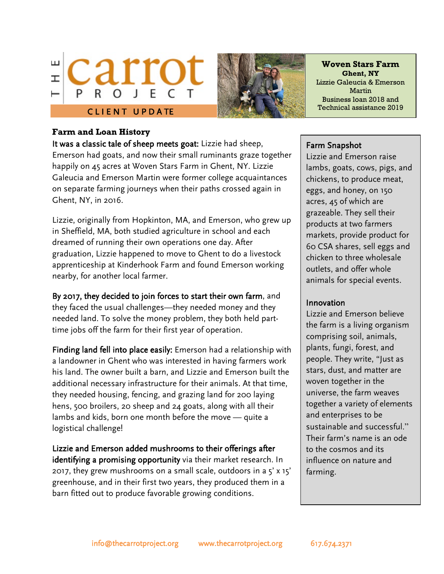



**Woven Stars Farm Ghent, NY** Lizzie Galeucia & Emerson Martin Business loan 2018 and Technical assistance 2019

### **Farm and Loan History**

It was a classic tale of sheep meets goat: Lizzie had sheep, Emerson had goats, and now their small ruminants graze together happily on 45 acres at Woven Stars Farm in Ghent, NY. Lizzie Galeucia and Emerson Martin were former college acquaintances on separate farming journeys when their paths crossed again in Ghent, NY, in 2016.

Lizzie, originally from Hopkinton, MA, and Emerson, who grew up in Sheffield, MA, both studied agriculture in school and each dreamed of running their own operations one day. After graduation, Lizzie happened to move to Ghent to do a livestock apprenticeship at Kinderhook Farm and found Emerson working nearby, for another local farmer.

By 2017, they decided to join forces to start their own farm, and they faced the usual challenges—they needed money and they needed land. To solve the money problem, they both held parttime jobs off the farm for their first year of operation.

Finding land fell into place easily: Emerson had a relationship with a landowner in Ghent who was interested in having farmers work his land. The owner built a barn, and Lizzie and Emerson built the additional necessary infrastructure for their animals. At that time, they needed housing, fencing, and grazing land for 200 laying hens, 500 broilers, 20 sheep and 24 goats, along with all their lambs and kids, born one month before the move — quite a logistical challenge!

Lizzie and Emerson added mushrooms to their offerings after identifying a promising opportunity via their market research. In 2017, they grew mushrooms on a small scale, outdoors in a 5' x 15' greenhouse, and in their first two years, they produced them in a barn fitted out to produce favorable growing conditions.

#### Farm Snapshot

Lizzie and Emerson raise lambs, goats, cows, pigs, and chickens, to produce meat, eggs, and honey, on 150 acres, 45 of which are grazeable. They sell their products at two farmers markets, provide product for 60 CSA shares, sell eggs and chicken to three wholesale outlets, and offer whole animals for special events.

#### Innovation

Lizzie and Emerson believe the farm is a living organism comprising soil, animals, plants, fungi, forest, and people. They write, "Just as stars, dust, and matter are woven together in the universe, the farm weaves together a variety of elements and enterprises to be sustainable and successful." Their farm's name is an ode to the cosmos and its influence on nature and farming.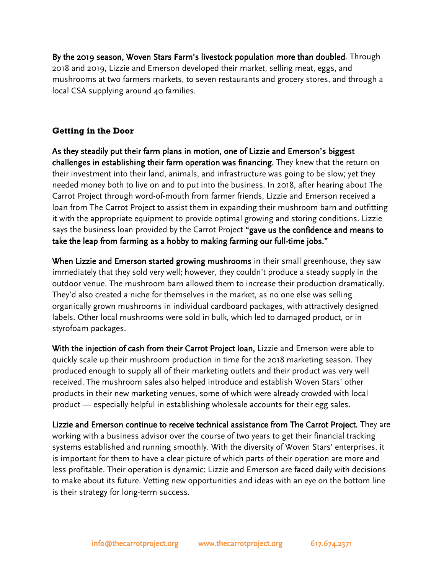By the 2019 season, Woven Stars Farm's livestock population more than doubled. Through 2018 and 2019, Lizzie and Emerson developed their market, selling meat, eggs, and mushrooms at two farmers markets, to seven restaurants and grocery stores, and through a local CSA supplying around 40 families.

# **Getting in the Door**

As they steadily put their farm plans in motion, one of Lizzie and Emerson's biggest challenges in establishing their farm operation was financing. They knew that the return on their investment into their land, animals, and infrastructure was going to be slow; yet they needed money both to live on and to put into the business. In 2018, after hearing about The Carrot Project through word-of-mouth from farmer friends, Lizzie and Emerson received a loan from The Carrot Project to assist them in expanding their mushroom barn and outfitting it with the appropriate equipment to provide optimal growing and storing conditions. Lizzie says the business loan provided by the Carrot Project "gave us the confidence and means to take the leap from farming as a hobby to making farming our full-time jobs."

When Lizzie and Emerson started growing mushrooms in their small greenhouse, they saw immediately that they sold very well; however, they couldn't produce a steady supply in the outdoor venue. The mushroom barn allowed them to increase their production dramatically. They'd also created a niche for themselves in the market, as no one else was selling organically grown mushrooms in individual cardboard packages, with attractively designed labels. Other local mushrooms were sold in bulk, which led to damaged product, or in styrofoam packages.

With the injection of cash from their Carrot Project loan, Lizzie and Emerson were able to quickly scale up their mushroom production in time for the 2018 marketing season. They produced enough to supply all of their marketing outlets and their product was very well received. The mushroom sales also helped introduce and establish Woven Stars' other products in their new marketing venues, some of which were already crowded with local product — especially helpful in establishing wholesale accounts for their egg sales.

Lizzie and Emerson continue to receive technical assistance from The Carrot Project. They are working with a business advisor over the course of two years to get their financial tracking systems established and running smoothly. With the diversity of Woven Stars' enterprises, it is important for them to have a clear picture of which parts of their operation are more and less profitable. Their operation is dynamic: Lizzie and Emerson are faced daily with decisions to make about its future. Vetting new opportunities and ideas with an eye on the bottom line is their strategy for long-term success.